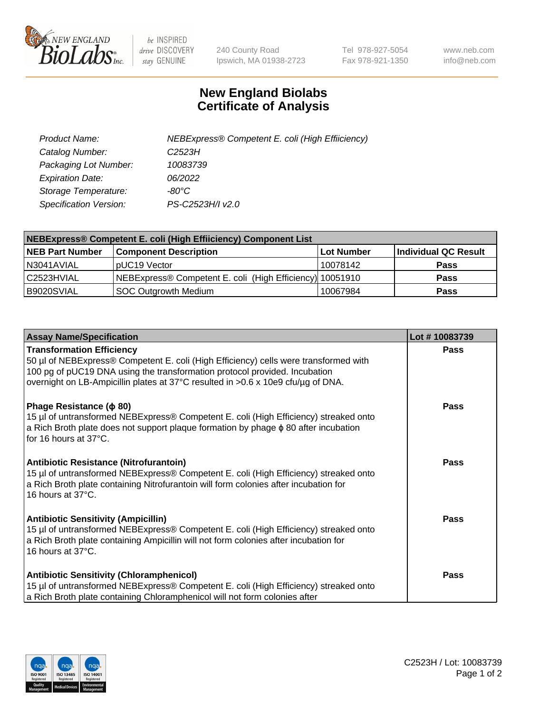

 $be$  INSPIRED drive DISCOVERY stay GENUINE

240 County Road Ipswich, MA 01938-2723 Tel 978-927-5054 Fax 978-921-1350 www.neb.com info@neb.com

## **New England Biolabs Certificate of Analysis**

| Product Name:           | NEBExpress® Competent E. coli (High Effiiciency) |
|-------------------------|--------------------------------------------------|
| Catalog Number:         | C2523H                                           |
| Packaging Lot Number:   | 10083739                                         |
| <b>Expiration Date:</b> | 06/2022                                          |
| Storage Temperature:    | -80°C                                            |
| Specification Version:  | PS-C2523H/I v2.0                                 |

| NEBExpress® Competent E. coli (High Effiiciency) Component List |                                                          |            |                      |  |
|-----------------------------------------------------------------|----------------------------------------------------------|------------|----------------------|--|
| <b>NEB Part Number</b>                                          | <b>Component Description</b>                             | Lot Number | Individual QC Result |  |
| N3041AVIAL                                                      | pUC19 Vector                                             | 10078142   | <b>Pass</b>          |  |
| l C2523HVIAL                                                    | NEBExpress® Competent E. coli (High Efficiency) 10051910 |            | <b>Pass</b>          |  |
| B9020SVIAL                                                      | <b>SOC Outgrowth Medium</b>                              | 10067984   | <b>Pass</b>          |  |

| <b>Assay Name/Specification</b>                                                                                                                                                                                                                                                            | Lot #10083739 |
|--------------------------------------------------------------------------------------------------------------------------------------------------------------------------------------------------------------------------------------------------------------------------------------------|---------------|
| <b>Transformation Efficiency</b><br>50 µl of NEBExpress® Competent E. coli (High Efficiency) cells were transformed with<br>100 pg of pUC19 DNA using the transformation protocol provided. Incubation<br>overnight on LB-Ampicillin plates at 37°C resulted in >0.6 x 10e9 cfu/µg of DNA. | <b>Pass</b>   |
| Phage Resistance ( $\phi$ 80)<br>15 µl of untransformed NEBExpress® Competent E. coli (High Efficiency) streaked onto<br>a Rich Broth plate does not support plaque formation by phage $\phi$ 80 after incubation<br>for 16 hours at $37^{\circ}$ C.                                       | Pass          |
| <b>Antibiotic Resistance (Nitrofurantoin)</b><br>15 µl of untransformed NEBExpress® Competent E. coli (High Efficiency) streaked onto<br>a Rich Broth plate containing Nitrofurantoin will form colonies after incubation for<br>16 hours at $37^{\circ}$ C.                               | Pass          |
| <b>Antibiotic Sensitivity (Ampicillin)</b><br>15 µl of untransformed NEBExpress® Competent E. coli (High Efficiency) streaked onto<br>a Rich Broth plate containing Ampicillin will not form colonies after incubation for<br>16 hours at 37°C.                                            | <b>Pass</b>   |
| <b>Antibiotic Sensitivity (Chloramphenicol)</b><br>15 µl of untransformed NEBExpress® Competent E. coli (High Efficiency) streaked onto<br>a Rich Broth plate containing Chloramphenicol will not form colonies after                                                                      | Pass          |